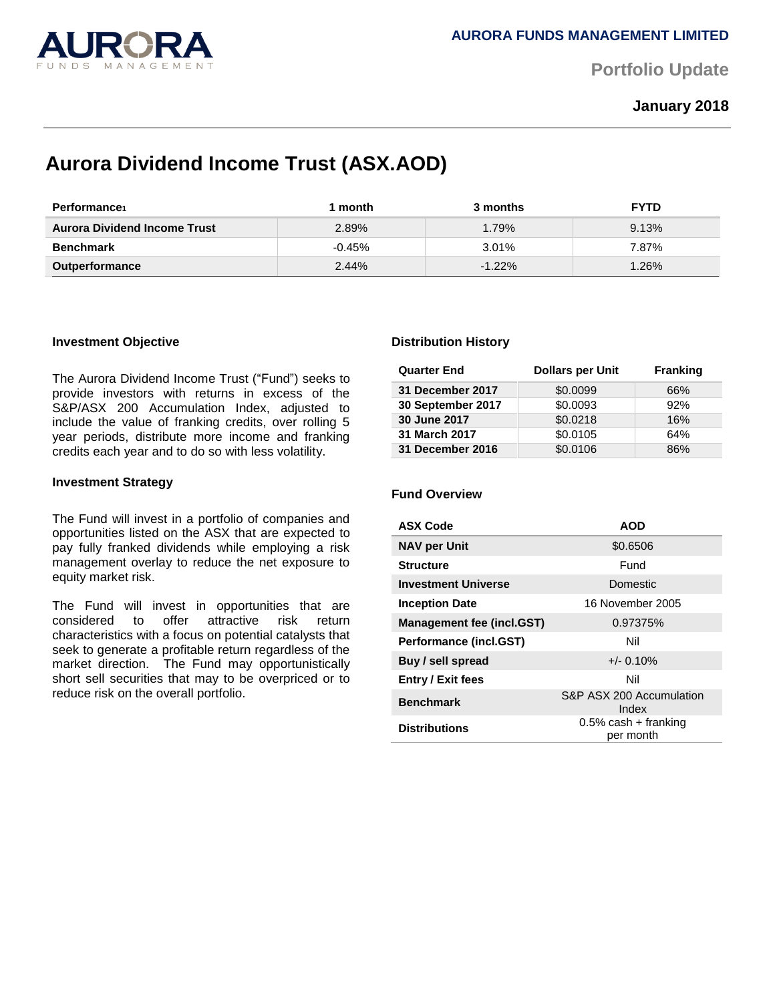

**Portfolio Update** 

**January 2018**

# **Aurora Dividend Income Trust (ASX.AOD)**

| <b>Performance</b>                  | month    | 3 months  | <b>FYTD</b> |
|-------------------------------------|----------|-----------|-------------|
| <b>Aurora Dividend Income Trust</b> | 2.89%    | 1.79%     | 9.13%       |
| <b>Benchmark</b>                    | $-0.45%$ | 3.01%     | 7.87%       |
| <b>Outperformance</b>               | 2.44%    | $-1.22\%$ | 1.26%       |

## **Investment Objective**

The Aurora Dividend Income Trust ("Fund") seeks to provide investors with returns in excess of the S&P/ASX 200 Accumulation Index, adjusted to include the value of franking credits, over rolling 5 year periods, distribute more income and franking credits each year and to do so with less volatility.

#### **Investment Strategy**

The Fund will invest in a portfolio of companies and opportunities listed on the ASX that are expected to pay fully franked dividends while employing a risk management overlay to reduce the net exposure to equity market risk.

The Fund will invest in opportunities that are considered to offer attractive risk return characteristics with a focus on potential catalysts that seek to generate a profitable return regardless of the market direction. The Fund may opportunistically short sell securities that may to be overpriced or to reduce risk on the overall portfolio.

## **Distribution History**

| <b>Quarter End</b> | <b>Dollars per Unit</b> | <b>Franking</b> |
|--------------------|-------------------------|-----------------|
| 31 December 2017   | \$0.0099                | 66%             |
| 30 September 2017  | \$0.0093                | 92%             |
| 30 June 2017       | \$0.0218                | 16%             |
| 31 March 2017      | \$0.0105                | 64%             |
| 31 December 2016   | \$0.0106                | 86%             |

#### **Fund Overview**

| <b>ASX Code</b>                  | AOD                                  |
|----------------------------------|--------------------------------------|
| <b>NAV per Unit</b>              | \$0.6506                             |
| <b>Structure</b>                 | Fund                                 |
| <b>Investment Universe</b>       | Domestic                             |
| <b>Inception Date</b>            | 16 November 2005                     |
| <b>Management fee (incl.GST)</b> | 0.97375%                             |
| Performance (incl.GST)           | Nil                                  |
| Buy / sell spread                | $+/- 0.10\%$                         |
| <b>Entry / Exit fees</b>         | Nil                                  |
| <b>Benchmark</b>                 | S&P ASX 200 Accumulation<br>Index    |
| <b>Distributions</b>             | $0.5\%$ cash + franking<br>per month |